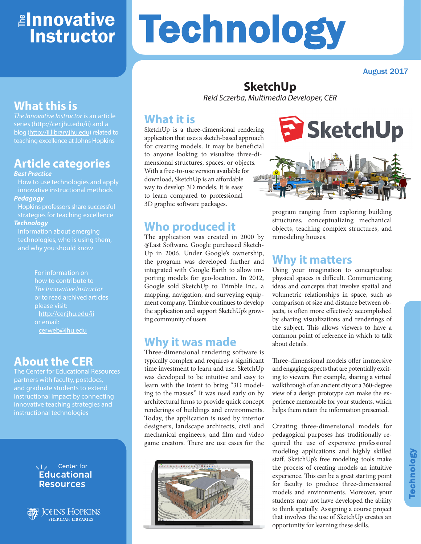# ≇l<mark>nnovative</mark> **Instructor**

# **Technology**

August 2017

## **What this is**

*The Innovative Instructor* is an article series ([http://cer.jhu.edu/ii\) an](http://cer.jhu.edu/ii)d a blog [\(http://ii.library.jhu.edu\) rel](http://ii.library.jhu.edu)ated to teaching excellence at Johns Hopkins

## **Article categories**

#### *Best Practice*

How to use technologies and apply innovative instructional methods *Pedagogy*

Hopkins professors share successful strategies for teaching excellence

#### *Technology*

Information about emerging technologies, who is using them, and why you should know

> For information on how to contribute to *The Innovative Instructor* or to read archived articles please visit: <http://cer.jhu.edu/ii> or email: [cerweb@jhu.edu](mailto:cerweb@jhu.edu)

#### **About the CER**

The Center for Educational Resources partners with faculty, postdocs, and graduate students to extend instructional impact by connecting innovative teaching strategies and instructional technologies





# **SketchUp**

*Reid Sczerba, Multimedia Developer, CER*

#### **What it is**

SketchUp is a three-dimensional rendering application that uses a sketch-based approach for creating models. It may be beneficial to anyone looking to visualize three-dimensional structures, spaces, or objects. With a free-to-use version available for WHEEL download, SketchUp is an affordable way to develop 3D models. It is easy to learn compared to professional 3D graphic software packages.

#### **Who produced it**

The application was created in 2000 by @Last Software. Google purchased Sketch-Up in 2006. Under Google's ownership, the program was developed further and integrated with Google Earth to allow importing models for geo-location. In 2012, Google sold SketchUp to Trimble Inc., a mapping, navigation, and surveying equipment company. Trimble continues to develop the application and support SketchUp's growing community of users.

#### **Why it was made**

Three-dimensional rendering software is typically complex and requires a significant time investment to learn and use. SketchUp was developed to be intuitive and easy to learn with the intent to bring "3D modeling to the masses." It was used early on by architectural firms to provide quick concept renderings of buildings and environments. Today, the application is used by interior designers, landscape architects, civil and mechanical engineers, and film and video game creators. There are use cases for the





program ranging from exploring building structures, conceptualizing mechanical objects, teaching complex structures, and remodeling houses.

### **Why it matters**

Using your imagination to conceptualize physical spaces is difficult. Communicating ideas and concepts that involve spatial and volumetric relationships in space, such as comparison of size and distance between objects, is often more effectively accomplished by sharing visualizations and renderings of the subject. This allows viewers to have a common point of reference in which to talk about details.

Three-dimensional models offer immersive and engaging aspects that are potentially exciting to viewers. For example, sharing a virtual walkthrough of an ancient city or a 360-degree view of a design prototype can make the experience memorable for your students, which helps them retain the information presented.

Creating three-dimensional models for pedagogical purposes has traditionally required the use of expensive professional modeling applications and highly skilled staff. SketchUp's free modeling tools make the process of creating models an intuitive experience. This can be a great starting point for faculty to produce three-dimensional models and environments. Moreover, your students may not have developed the ability to think spatially. Assigning a course project that involves the use of SketchUp creates an opportunity for learning these skills.